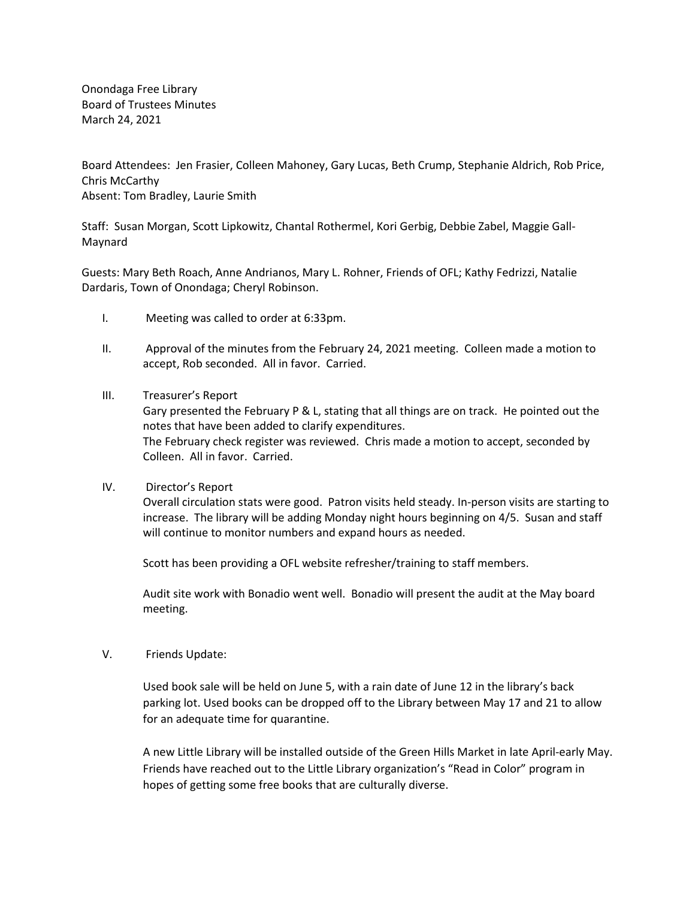Onondaga Free Library Board of Trustees Minutes March 24, 2021

Board Attendees: Jen Frasier, Colleen Mahoney, Gary Lucas, Beth Crump, Stephanie Aldrich, Rob Price, Chris McCarthy Absent: Tom Bradley, Laurie Smith

Staff: Susan Morgan, Scott Lipkowitz, Chantal Rothermel, Kori Gerbig, Debbie Zabel, Maggie Gall-Maynard

Guests: Mary Beth Roach, Anne Andrianos, Mary L. Rohner, Friends of OFL; Kathy Fedrizzi, Natalie Dardaris, Town of Onondaga; Cheryl Robinson.

- I. Meeting was called to order at 6:33pm.
- II. Approval of the minutes from the February 24, 2021 meeting. Colleen made a motion to accept, Rob seconded. All in favor. Carried.
- III. Treasurer's Report

Gary presented the February P & L, stating that all things are on track. He pointed out the notes that have been added to clarify expenditures. The February check register was reviewed. Chris made a motion to accept, seconded by Colleen. All in favor. Carried.

IV. Director's Report

Overall circulation stats were good. Patron visits held steady. In-person visits are starting to increase. The library will be adding Monday night hours beginning on 4/5. Susan and staff will continue to monitor numbers and expand hours as needed.

Scott has been providing a OFL website refresher/training to staff members.

Audit site work with Bonadio went well. Bonadio will present the audit at the May board meeting.

V. Friends Update:

Used book sale will be held on June 5, with a rain date of June 12 in the library's back parking lot. Used books can be dropped off to the Library between May 17 and 21 to allow for an adequate time for quarantine.

A new Little Library will be installed outside of the Green Hills Market in late April-early May. Friends have reached out to the Little Library organization's "Read in Color" program in hopes of getting some free books that are culturally diverse.